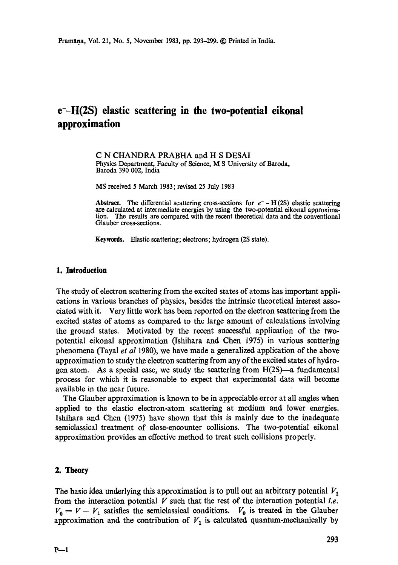# **e--H(2S) elastic scattering in the two-potential eikonal approximation**

C N CHANDRA PRABHA and H S DESAI Physics Department, Faculty of Science, M S University of Baroda, Baroda 390 002, India

MS received 5 March 1983; revised 25 July 1983

Abstract. The differential scattering cross-sections for  $e^-$  – H(2S) elastic scattering are calculated at intermediate energies by using the two-potential eikonai approximation. The results are compared with the recent theoretical data and the conventional Glauber cross-sections.

Keywords. Elastic scattering; electrons; hydrogen (25 state).

# **1. Introduction**

The study of electron scattering from the excited states of atoms has important applications in various branches of physics, besides the intrinsic theoretical interest associated with it. Very little work has been reported on the electron scattering from the excited states of atoms as compared to the large amount of calculations involving the ground states. Motivated by the recent successful application of the twopotential eikonal approximation (Iskihara and Chen 1975) in various scattering phenomena (Tayal *et al* 1980), we have made a generalized application of the above approximation to study the electron scattering from any of the exoiied states of hydrogen atom. As a special case, we study the scattering from  $H(2S)$ —a fundamental process for which it is reasonable to expect that experimental data will become available in the near future.

The Glauber approximation is known to be in appreciable error at all angles when applied to the elastic electron-atom scattering at medium and lower energies. Ishihara and Chen (1975) have shown that this is mainly due to the inadequate semiclassical treatment of close-encounter collisions. The two-potential eikonal approximation provides an effective method to treat such collisions properly.

## **2. Theory**

The basic idea underlying this approximation is to pull out an arbitrary potential  $V_1$ from the interaction potential V such that the rest of the interaction potential *i.e.*   $V_0 = V - V_1$  satisfies the semiclassical conditions.  $V_0$  is treated in the Glauber approximation and the contribution of  $V_1$  is calculated quantum-mechanically by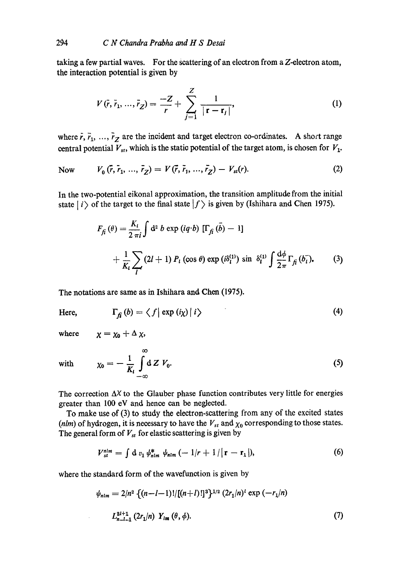taking a few partial waves. For the Scattering of an electron from a Z-electron atom, the interaction potential is given by

$$
V(\vec{r}, \vec{r}_1, ..., \vec{r}_Z) = \frac{-Z}{r} + \sum_{j=1}^{Z} \frac{1}{|\mathbf{r} - \mathbf{r}_j|},
$$
 (1)

where  $\tilde{r}$ ,  $\tilde{r}_1$ , ...,  $\tilde{r}_2$  are the incident and target electron co-ordinates. A short range central potential  $V_{st}$ , which is the static potential of the target atom, is chosen for  $V_1$ .

Now 
$$
V_0(\bar{r}, \bar{r}_1, ..., \bar{r}_Z) = V(\bar{r}, \bar{r}_1, ..., \bar{r}_Z) - V_{st}(r).
$$
 (2)

In the two-potential eikonal approximation, the transition amplitude from the initial state  $|i\rangle$  of the target to the final state  $|f\rangle$  is given by (Ishihara and Chen 1975).

$$
F_{f_i}(\theta) = \frac{K_i}{2 \pi i} \int d^2 b \exp(iq \cdot b) \left[ \Gamma_{f_i}(\bar{b}) - 1 \right]
$$
  
+ 
$$
\frac{1}{K_i} \sum_{l} (2l + 1) P_l(\cos \theta) \exp(i\delta_l^{(1)}) \sin \delta_l^{(1)} \int \frac{d\phi}{2 \pi} \Gamma_{f_i}(b_l^{-}), \qquad (3)
$$

The notations are same as in Ishihara and Chen (1975).

Here,  $\Gamma_{\hat{f}}(b) = \langle f | \exp(i\chi) | i \rangle$  (4)

where

$$
\chi=\chi_0+\Delta\,\chi,
$$

with 
$$
\chi_0 = -\frac{1}{K_i} \int_{-\infty}^{\infty} dZ V_0.
$$
 (5)

The correction  $\Delta X$  to the Glauber phase function contributes very little for energies greater than 100 eV and hence can be neglected.

To make use of (3) to study the electron-scattering from any of the excited states *(nlm)* of hydrogen, it is necessary to have the  $V_{st}$  and  $\chi_0$  corresponding to those states. The general form of  $V_{st}$  for elastic scattering is given by

$$
V_{st}^{nim} = \int d v_1 \psi_{nlm}^* \psi_{nlm} (-1/r + 1/|\mathbf{r} - \mathbf{r}_1|), \qquad (6)
$$

where the standard form of the wavefunction is given by

$$
\psi_{nlm} = 2/n^2 \left\{ (n-l-1)! / [(n+l)!]^3 \right\}^{1/2} (2r_1/n)^l \exp(-r_1/n)
$$
  

$$
L_{n-l-1}^{2l+1} (2r_1/n) Y_{lm} (\theta, \phi).
$$
 (7)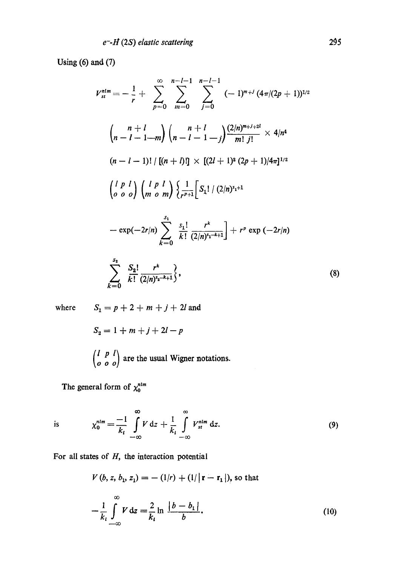Using  $(6)$  and  $(7)$ 

$$
V_{st}^{nlm} = -\frac{1}{r} + \sum_{p=0}^{\infty} \sum_{m=0}^{n-l-1} \sum_{j=0}^{n-l-1} (-1)^{m+j} (4\pi/(2p+1))^{1/2}
$$
  

$$
\binom{n+l}{n-l-1-m} \binom{n+l}{n-l-1-j} \frac{(2/n)^{m+j+2l}}{m! j!} \times 4/n^4
$$
  

$$
(n-l-1)! | [(n+l)!] \times [(2l+1)^2 (2p+1)/4\pi]^{1/2}
$$
  

$$
\binom{l}{o} \binom{l}{o} \binom{l}{m} \sum_{j=0}^{l} \frac{1}{r^{p+1}} \left[ S_1! / (2/n)^{s_1+1} - \exp(-2r/n) \sum_{k=0}^{s_1} \frac{s_1!}{k!} \frac{r^k}{(2/n)^{s_1-k+1}} \right] + r^p \exp(-2r/n)
$$
  

$$
\sum_{k=0}^{s_2} \frac{S_2!}{k!} \frac{r^k}{(2/n)^{s_2-k+1}}.
$$
 (8)

where  $S_1 = p + 2 + m + j + 2l$  and  $S_2 = 1 + m + j + 2l - p$ 

 $\begin{pmatrix} l & p & l \\ o & o & o \end{pmatrix}$  are the usual Wigner notations.

The general form of  $\chi_0^{nlm}$ 

is 
$$
\chi_0^{nlm} = \frac{-1}{k_l} \int_{-\infty}^{\infty} V dz + \frac{1}{k_l} \int_{-\infty}^{\infty} V_{st}^{nlm} dz.
$$
 (9)

For all states of *H*, the interaction potential

$$
V(b, z, b_1, z_1) = - (1/r) + (1/|\mathbf{r} - \mathbf{r}_1|), \text{ so that}
$$
  

$$
-\frac{1}{k_i} \int_{-\infty}^{\infty} V \, dz = \frac{2}{k_i} \ln \frac{|b - b_1|}{b}.
$$
 (10)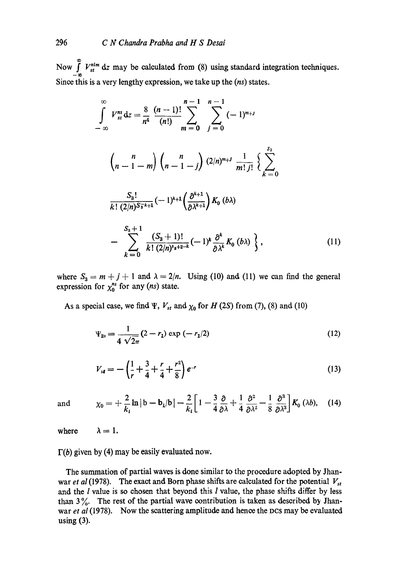Now  $\int_{-\infty}^{\infty} V_{st}^{nlm} dz$  may be calculated from (8) using standard integration techniques. Since this is a very lengthy expression, we take up the *(ns)* states.

$$
\int_{-\infty}^{\infty} V_{st}^{ns} dz = \frac{8}{n^4} \frac{(n-1)!}{(n!)} \sum_{m=0}^{n-1} \sum_{j=0}^{n-1} (-1)^{m+j}
$$
  

$$
\left(n - 1 - m\right) \left(n - 1 - j\right) (2/n)^{m+j} \frac{1}{m! j!} \left\{ \sum_{k=0}^{s_3} \sum_{k=0}^{n-1} (-1)^{k+j} \left(\frac{\partial^{k+j}}{\partial \lambda^{k+j}}\right) K_0 (b\lambda)
$$
  

$$
- \sum_{k=0}^{s_3+1} \frac{(S_3+1)!}{k! (2/n)^{s_3+2-k}} (-1)^k \frac{\partial^k}{\partial \lambda^k} K_0 (b\lambda) \left\}, \qquad (11)
$$

where  $S_3 = m + j + 1$  and  $\lambda = 2/n$ . Using (10) and (11) we can find the general expression for  $\chi_0^{ns}$  for any  $(ns)$  state.

As a special case, we find  $\Psi$ ,  $V_{st}$  and  $\chi_0$  for H (2S) from (7), (8) and (10)

$$
\Psi_{2s} = \frac{1}{4\sqrt{2\pi}} (2 - r_1) \exp(-r_1/2)
$$
 (12)

$$
V_{st} = -\left(\frac{1}{r} + \frac{3}{4} + \frac{r}{4} + \frac{r^2}{8}\right)e^{-r}
$$
 (13)

and 
$$
\chi_0 = +\frac{2}{k_i} \ln |b - b_i/b| - \frac{2}{k_i} \left[ 1 - \frac{3}{4} \frac{\partial}{\partial \lambda} + \frac{1}{4} \frac{\partial^2}{\partial \lambda^2} - \frac{1}{8} \frac{\partial^3}{\partial \lambda^3} \right] K_0 (\lambda b), \quad (14)
$$

where  $\lambda = 1$ .

 $\Gamma(b)$  given by (4) may be easily evaluated now.

The summation of partial waves is done similar to the procedure adopted by Jhanwar *et al* (1978). The exact and Born phase shifts are calculated for the potential  $V_{st}$ and the l value is so chosen that beyond this I value, the phase shifts differ by less than  $3\%$ . The rest of the partial wave contribution is taken as described by Jhanwar *et al* (1978). Now the scattering amplitude and hence the DCs may be evaluated using  $(3)$ .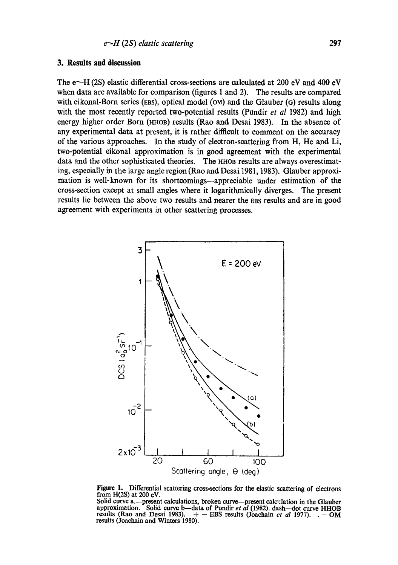# **3. Results and discussion**

The e- $-H$  (2S) elastic differential cross-sections are calculated at 200 eV and 400 eV when data are available for comparison (figures 1 and 2). The results are compared with eikonal-Born series (EBS), optical model (OM) and the Glauber (G) results along with the most recently reported two-potential results (Pundir *et al* 1982) and high energy higher order Born (HHOB) results (Rao and Desai 1983). In the absence of any experimental data at present, it is rather difficult to comment on the accuracy of the various approaches. In the study of electron-scattering from H, He and Li, two-potential eikonal approximation is in good agreement with the experimental data and the other sophisticated theories. The HHOB results are always overestimating, especially in the large angle region CRao and Desai 1981, 1983). Glauber approximation is well-known for its shortcomings--appreciable under estimation of the cross-section except at small angles where it logarithmically diverges. The present results lie between the above two results and nearer the EBS results and are in good agreement with experiments in other scattering processes.



Figure 1. Differential scattering cross-sections for the elastic scattering of electrons from  $H(2S)$  at  $200 eV$ . Solid curve a.--present calculations, broken curve--present calculation in the Glauber

approximation. Solid curve b—data of Pundir *et al* (1982). dash—dot curve HHOB results (Rao and Desai 1983).  $+ -$  EBS results (Joachain *et al* 1977).  $-$  OM results (Joaehain and Winters 1980).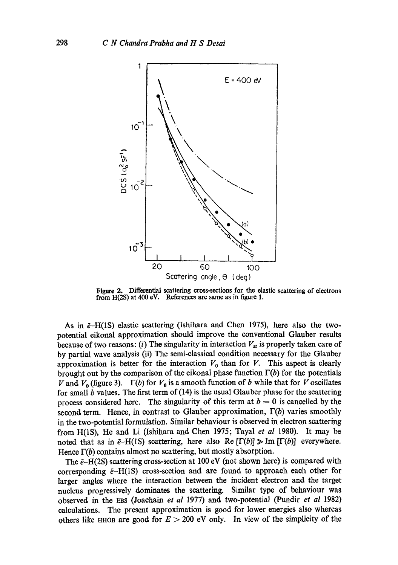

**Figure 2. Differential** scattering cross-sections for the elastic scattering of electrons from H(2S) at 400 eV. References are same as in figure 1.

As in  $\bar{e}$ -H(1S) elastic scattering (Ishihara and Chen 1975), here also the twopotential eikonal approximation should improve the conventional Glauber results because of two reasons: (i) The singularity in interaction  $V_{st}$  is properly taken care of by partial wave analysis (ii) The semi-classical condition necessary for the Glaubor approximation is better for the interaction  $V_0$  than for V. This aspect is clearly brought out by the comparison of the eikonal phase function  $\Gamma(b)$  for the potentials V and  $V_0$  (figure 3).  $\Gamma(b)$  for  $V_0$  is a smooth function of b while that for V oscillates for small b values. The first term of  $(14)$  is the usual Glauber phase for the scattering process considered here. The singularity of this term at  $b = 0$  is cancelled by the second term. Hence, in contrast to Glauber approximation,  $\Gamma(b)$  varies smoothly in the two-potential formulation. Similar behaviour is observed in electron scattering from H(1S), He and Li (Ishihara and Chen 1975; Tayal *et al* 1980). It may be noted that as in  $\bar{e}$ -H(1S) scattering, here also Re  $[\Gamma(b)] \geq \text{Im} [\Gamma(b)]$  *everywhere.* Hence  $\Gamma(b)$  contains almost no scattering, but mostly absorption.

The  $\bar{e}$ -H(2S) scattering cross-section at 100 eV (not shown here) is compared with corresponding  $\bar{e}$ -H(1S) cross-section and are found to approach each other for larger angles where the interaction between the incident electron and the target nucleus progressively dominates the scattering. Similar type of behaviour was observed in the EBS (Joachain *et al* 1977) and two-potential (Pundir *et al* 1982) calculations. The present approximation is good for lower energies also whereas others like HHOB are good for  $E > 200$  eV only. In view of the simplicity of the